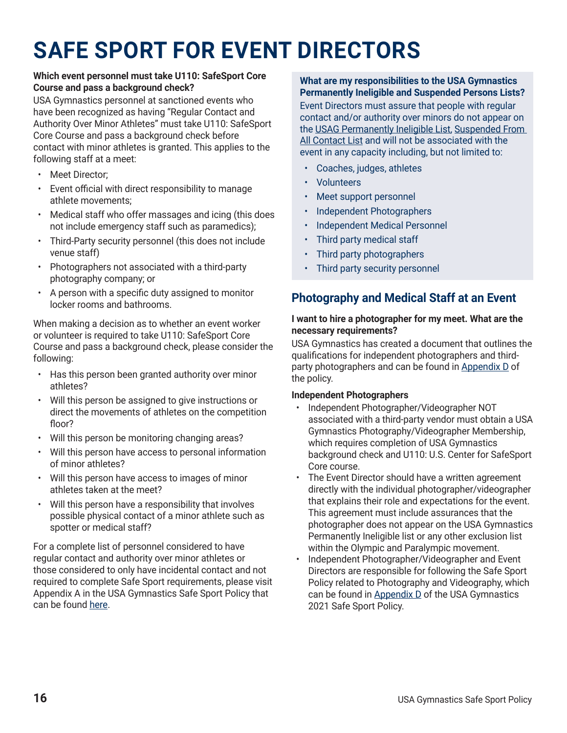# **SAFE SPORT FOR EVENT DIRECTORS**

#### **Which event personnel must take U110: SafeSport Core Course and pass a background check?**

USA Gymnastics personnel at sanctioned events who have been recognized as having "Regular Contact and Authority Over Minor Athletes" must take U110: SafeSport Core Course and pass a background check before contact with minor athletes is granted. This applies to the following staff at a meet:

- Meet Director;
- Event official with direct responsibility to manage athlete movements;
- Medical staff who offer massages and icing (this does not include emergency staff such as paramedics);
- Third-Party security personnel (this does not include venue staff)
- Photographers not associated with a third-party photography company; or
- A person with a specific duty assigned to monitor locker rooms and bathrooms.

When making a decision as to whether an event worker or volunteer is required to take U110: SafeSport Core Course and pass a background check, please consider the following:

- Has this person been granted authority over minor athletes?
- Will this person be assigned to give instructions or direct the movements of athletes on the competition floor?
- Will this person be monitoring changing areas?
- Will this person have access to personal information of minor athletes?
- Will this person have access to images of minor athletes taken at the meet?
- Will this person have a responsibility that involves possible physical contact of a minor athlete such as spotter or medical staff?

For a complete list of personnel considered to have regular contact and authority over minor athletes or those considered to only have incidental contact and not required to complete Safe Sport requirements, please visit Appendix A in the USA Gymnastics Safe Sport Policy that can be found [here](https://usagym.org/PDFs/safesport/appendix_a.pdf).

#### **What are my responsibilities to the USA Gymnastics Permanently Ineligible and Suspended Persons Lists?**

Event Directors must assure that people with regular contact and/or authority over minors do not appear on the [USAG Permanently Ineligible List](https://usagym.org/pages/aboutus/pages/permanently_ineligible_members.html), [Suspended From](https://usagym.org/pages/aboutus/pages/restricted_persons.html)  [All Contact List](https://usagym.org/pages/aboutus/pages/restricted_persons.html) and will not be associated with the event in any capacity including, but not limited to:

- Coaches, judges, athletes
- Volunteers
- Meet support personnel
- Independent Photographers
- Independent Medical Personnel
- Third party medical staff
- Third party photographers
- Third party security personnel

## **Photography and Medical Staff at an Event**

#### **I want to hire a photographer for my meet. What are the necessary requirements?**

USA Gymnastics has created a document that outlines the qualifications for independent photographers and third-party photographers and can be found in [Appendix D](https://usagym.org/PDFs/safesport/appendix_d.pdf) of the policy.

### **Independent Photographers**

- Independent Photographer/Videographer NOT associated with a third-party vendor must obtain a USA Gymnastics Photography/Videographer Membership, which requires completion of USA Gymnastics background check and U110: U.S. Center for SafeSport Core course.
- The Event Director should have a written agreement directly with the individual photographer/videographer that explains their role and expectations for the event. This agreement must include assurances that the photographer does not appear on the USA Gymnastics Permanently Ineligible list or any other exclusion list within the Olympic and Paralympic movement.
- Independent Photographer/Videographer and Event Directors are responsible for following the Safe Sport Policy related to Photography and Videography, which can be found in [Appendix D](https://usagym.org/PDFs/safesport/appendix_d.pdf) of the USA Gymnastics 2021 Safe Sport Policy.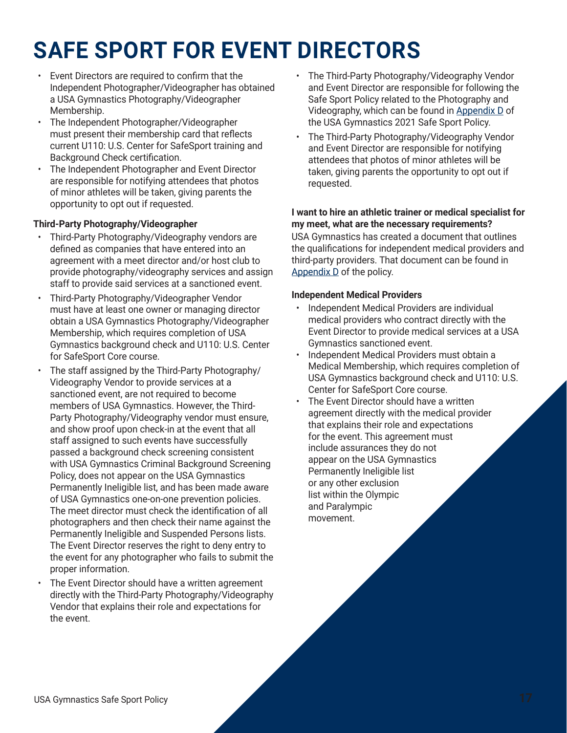# **SAFE SPORT FOR EVENT DIRECTORS**

- Event Directors are required to confirm that the Independent Photographer/Videographer has obtained a USA Gymnastics Photography/Videographer Membership.
- The Independent Photographer/Videographer must present their membership card that reflects current U110: U.S. Center for SafeSport training and Background Check certification.
- The Independent Photographer and Event Director are responsible for notifying attendees that photos of minor athletes will be taken, giving parents the opportunity to opt out if requested.

### **Third-Party Photography/Videographer**

- Third-Party Photography/Videography vendors are defined as companies that have entered into an agreement with a meet director and/or host club to provide photography/videography services and assign staff to provide said services at a sanctioned event.
- Third-Party Photography/Videographer Vendor must have at least one owner or managing director obtain a USA Gymnastics Photography/Videographer Membership, which requires completion of USA Gymnastics background check and U110: U.S. Center for SafeSport Core course.
- The staff assigned by the Third-Party Photography/ Videography Vendor to provide services at a sanctioned event, are not required to become members of USA Gymnastics. However, the Third-Party Photography/Videography vendor must ensure, and show proof upon check-in at the event that all staff assigned to such events have successfully passed a background check screening consistent with USA Gymnastics Criminal Background Screening Policy, does not appear on the USA Gymnastics Permanently Ineligible list, and has been made aware of USA Gymnastics one-on-one prevention policies. The meet director must check the identification of all photographers and then check their name against the Permanently Ineligible and Suspended Persons lists. The Event Director reserves the right to deny entry to the event for any photographer who fails to submit the proper information.
- The Event Director should have a written agreement directly with the Third-Party Photography/Videography Vendor that explains their role and expectations for the event.
- The Third-Party Photography/Videography Vendor and Event Director are responsible for following the Safe Sport Policy related to the Photography and Videography, which can be found in [Appendix D](https://usagym.org/PDFs/safesport/appendix_d.pdf) of the USA Gymnastics 2021 Safe Sport Policy.
- The Third-Party Photography/Videography Vendor and Event Director are responsible for notifying attendees that photos of minor athletes will be taken, giving parents the opportunity to opt out if requested.

#### **I want to hire an athletic trainer or medical specialist for my meet, what are the necessary requirements?**

USA Gymnastics has created a document that outlines the qualifications for independent medical providers and third-party providers. That document can be found in [Appendix D](https://usagym.org/PDFs/safesport/appendix_d.pdf) of the policy.

#### **Independent Medical Providers**

- Independent Medical Providers are individual medical providers who contract directly with the Event Director to provide medical services at a USA Gymnastics sanctioned event.
- Independent Medical Providers must obtain a Medical Membership, which requires completion of USA Gymnastics background check and U110: U.S. Center for SafeSport Core course.
- The Event Director should have a written agreement directly with the medical provider that explains their role and expectations for the event. This agreement must include assurances they do not appear on the USA Gymnastics Permanently Ineligible list or any other exclusion list within the Olympic and Paralympic movement.